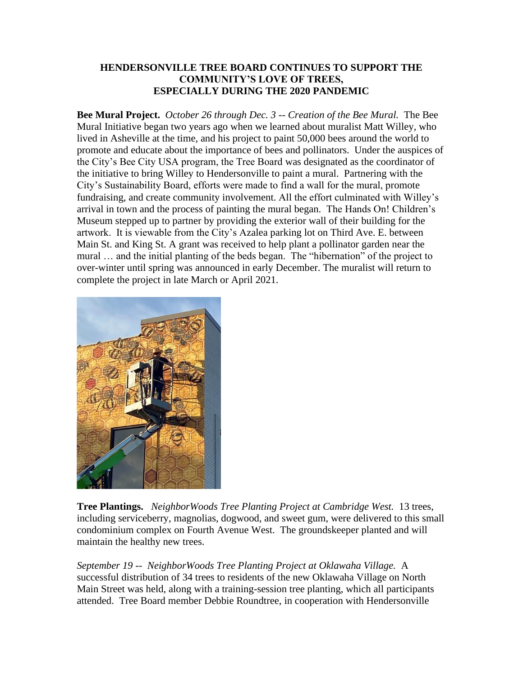## **HENDERSONVILLE TREE BOARD CONTINUES TO SUPPORT THE COMMUNITY'S LOVE OF TREES, ESPECIALLY DURING THE 2020 PANDEMIC**

**Bee Mural Project.** *October 26 through Dec. 3 -- Creation of the Bee Mural.* The Bee Mural Initiative began two years ago when we learned about muralist Matt Willey, who lived in Asheville at the time, and his project to paint 50,000 bees around the world to promote and educate about the importance of bees and pollinators. Under the auspices of the City's Bee City USA program, the Tree Board was designated as the coordinator of the initiative to bring Willey to Hendersonville to paint a mural. Partnering with the City's Sustainability Board, efforts were made to find a wall for the mural, promote fundraising, and create community involvement. All the effort culminated with Willey's arrival in town and the process of painting the mural began. The Hands On! Children's Museum stepped up to partner by providing the exterior wall of their building for the artwork. It is viewable from the City's Azalea parking lot on Third Ave. E. between Main St. and King St. A grant was received to help plant a pollinator garden near the mural … and the initial planting of the beds began. The "hibernation" of the project to over-winter until spring was announced in early December. The muralist will return to complete the project in late March or April 2021.



**Tree Plantings.** *NeighborWoods Tree Planting Project at Cambridge West.* 13 trees, including serviceberry, magnolias, dogwood, and sweet gum, were delivered to this small condominium complex on Fourth Avenue West. The groundskeeper planted and will maintain the healthy new trees.

*September 19 -- NeighborWoods Tree Planting Project at Oklawaha Village.* A successful distribution of 34 trees to residents of the new Oklawaha Village on North Main Street was held, along with a training-session tree planting, which all participants attended. Tree Board member Debbie Roundtree, in cooperation with Hendersonville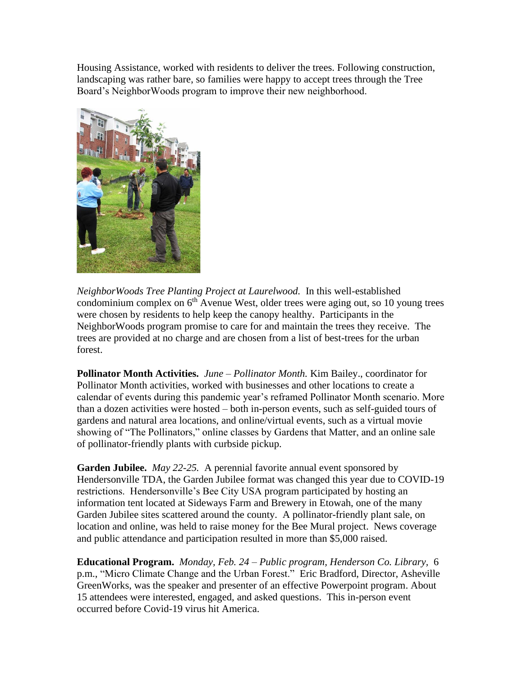Housing Assistance, worked with residents to deliver the trees. Following construction, landscaping was rather bare, so families were happy to accept trees through the Tree Board's NeighborWoods program to improve their new neighborhood.



*NeighborWoods Tree Planting Project at Laurelwood.* In this well-established condominium complex on  $6<sup>th</sup>$  Avenue West, older trees were aging out, so 10 young trees were chosen by residents to help keep the canopy healthy. Participants in the NeighborWoods program promise to care for and maintain the trees they receive. The trees are provided at no charge and are chosen from a list of best-trees for the urban forest.

**Pollinator Month Activities.** *June – Pollinator Month.* Kim Bailey., coordinator for Pollinator Month activities, worked with businesses and other locations to create a calendar of events during this pandemic year's reframed Pollinator Month scenario. More than a dozen activities were hosted – both in-person events, such as self-guided tours of gardens and natural area locations, and online/virtual events, such as a virtual movie showing of "The Pollinators," online classes by Gardens that Matter, and an online sale of pollinator-friendly plants with curbside pickup.

**Garden Jubilee.** *May 22-25.* A perennial favorite annual event sponsored by Hendersonville TDA, the Garden Jubilee format was changed this year due to COVID-19 restrictions. Hendersonville's Bee City USA program participated by hosting an information tent located at Sideways Farm and Brewery in Etowah, one of the many Garden Jubilee sites scattered around the county. A pollinator-friendly plant sale, on location and online, was held to raise money for the Bee Mural project. News coverage and public attendance and participation resulted in more than \$5,000 raised.

**Educational Program.** *Monday, Feb. 24 – Public program, Henderson Co. Library,* 6 p.m., "Micro Climate Change and the Urban Forest." Eric Bradford, Director, Asheville GreenWorks, was the speaker and presenter of an effective Powerpoint program. About 15 attendees were interested, engaged, and asked questions. This in-person event occurred before Covid-19 virus hit America.